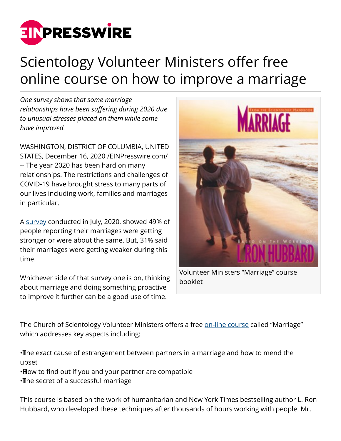

## Scientology Volunteer Ministers offer free online course on how to improve a marriage

*One survey shows that some marriage relationships have been suffering during 2020 due to unusual stresses placed on them while some have improved.*

WASHINGTON, DISTRICT OF COLUMBIA, UNITED STATES, December 16, 2020 /[EINPresswire.com](http://www.einpresswire.com)/ -- The year 2020 has been hard on many relationships. The restrictions and challenges of COVID-19 have brought stress to many parts of our lives including work, families and marriages in particular.

A [survey](https://www.deseret.com/pages/american-family-survey-reports) conducted in July, 2020, showed 49% of people reporting their marriages were getting stronger or were about the same. But, 31% said their marriages were getting weaker during this time.

Whichever side of that survey one is on, thinking about marriage and doing something proactive to improve it further can be a good use of time.



Volunteer Ministers "Marriage" course booklet

The Church of Scientology Volunteer Ministers offers a free [on-line course](https://www.volunteerministers.org/training/marriage/overview.html) called "Marriage" which addresses key aspects including:

• The exact cause of estrangement between partners in a marriage and how to mend the upset

• How to find out if you and your partner are compatible

• The secret of a successful marriage

This course is based on the work of humanitarian and New York Times bestselling author L. Ron Hubbard, who developed these techniques after thousands of hours working with people. Mr.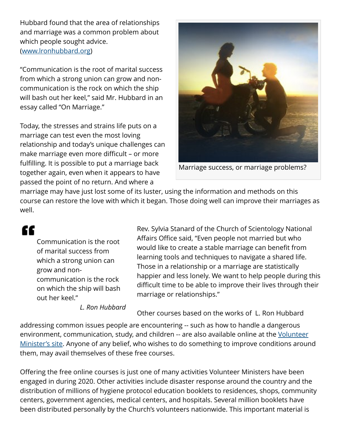Hubbard found that the area of relationships and marriage was a common problem about which people sought advice. ([www.lronhubbard.org](http://www.lronhubbard.org))

"Communication is the root of marital success from which a strong union can grow and noncommunication is the rock on which the ship will bash out her keel," said Mr. Hubbard in an essay called "On Marriage."

Today, the stresses and strains life puts on a marriage can test even the most loving relationship and today's unique challenges can make marriage even more difficult – or more fulfilling. It is possible to put a marriage back together again, even when it appears to have passed the point of no return. And where a



Marriage success, or marriage problems?

marriage may have just lost some of its luster, using the information and methods on this course can restore the love with which it began. Those doing well can improve their marriages as well.

## "

Communication is the root of marital success from which a strong union can grow and noncommunication is the rock on which the ship will bash out her keel."

*L. Ron Hubbard*

Rev. Sylvia Stanard of the Church of Scientology National Affairs Office said, "Even people not married but who would like to create a stable marriage can benefit from learning tools and techniques to navigate a shared life. Those in a relationship or a marriage are statistically happier and less lonely. We want to help people during this difficult time to be able to improve their lives through their marriage or relationships."

Other courses based on the works of L. Ron Hubbard

addressing common issues people are encountering -- such as how to handle a dangerous environment, communication, study, and children -- are also available online at the [Volunteer](https://www.volunteerministers.org/solutions/) [Minister's site.](https://www.volunteerministers.org/solutions/) Anyone of any belief, who wishes to do something to improve conditions around them, may avail themselves of these free courses.

Offering the free online courses is just one of many activities Volunteer Ministers have been engaged in during 2020. Other activities include disaster response around the country and the distribution of millions of hygiene protocol education booklets to residences, shops, community centers, government agencies, medical centers, and hospitals. Several million booklets have been distributed personally by the Church's volunteers nationwide. This important material is